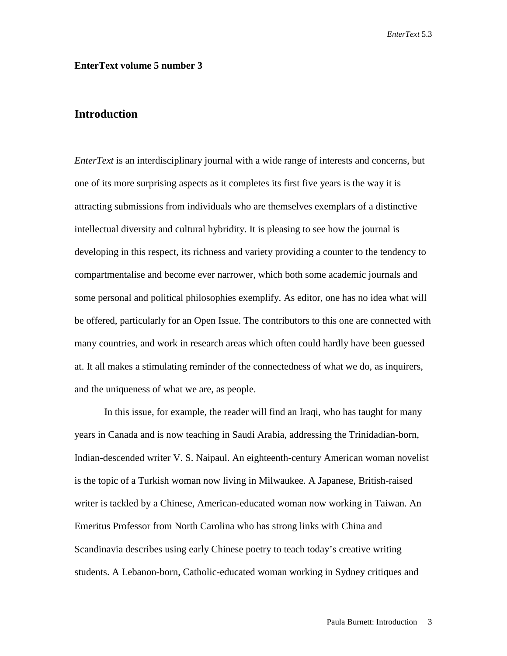## **EnterText volume 5 number 3**

## **Introduction**

*EnterText* is an interdisciplinary journal with a wide range of interests and concerns, but one of its more surprising aspects as it completes its first five years is the way it is attracting submissions from individuals who are themselves exemplars of a distinctive intellectual diversity and cultural hybridity. It is pleasing to see how the journal is developing in this respect, its richness and variety providing a counter to the tendency to compartmentalise and become ever narrower, which both some academic journals and some personal and political philosophies exemplify. As editor, one has no idea what will be offered, particularly for an Open Issue. The contributors to this one are connected with many countries, and work in research areas which often could hardly have been guessed at. It all makes a stimulating reminder of the connectedness of what we do, as inquirers, and the uniqueness of what we are, as people.

In this issue, for example, the reader will find an Iraqi, who has taught for many years in Canada and is now teaching in Saudi Arabia, addressing the Trinidadian-born, Indian-descended writer V. S. Naipaul. An eighteenth-century American woman novelist is the topic of a Turkish woman now living in Milwaukee. A Japanese, British-raised writer is tackled by a Chinese, American-educated woman now working in Taiwan. An Emeritus Professor from North Carolina who has strong links with China and Scandinavia describes using early Chinese poetry to teach today's creative writing students. A Lebanon-born, Catholic-educated woman working in Sydney critiques and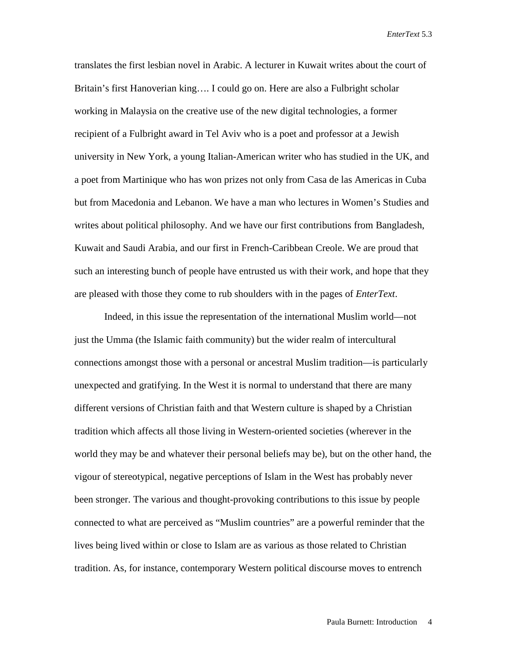translates the first lesbian novel in Arabic. A lecturer in Kuwait writes about the court of Britain's first Hanoverian king…. I could go on. Here are also a Fulbright scholar working in Malaysia on the creative use of the new digital technologies, a former recipient of a Fulbright award in Tel Aviv who is a poet and professor at a Jewish university in New York, a young Italian-American writer who has studied in the UK, and a poet from Martinique who has won prizes not only from Casa de las Americas in Cuba but from Macedonia and Lebanon. We have a man who lectures in Women's Studies and writes about political philosophy. And we have our first contributions from Bangladesh, Kuwait and Saudi Arabia, and our first in French-Caribbean Creole. We are proud that such an interesting bunch of people have entrusted us with their work, and hope that they are pleased with those they come to rub shoulders with in the pages of *EnterText*.

Indeed, in this issue the representation of the international Muslim world—not just the Umma (the Islamic faith community) but the wider realm of intercultural connections amongst those with a personal or ancestral Muslim tradition—is particularly unexpected and gratifying. In the West it is normal to understand that there are many different versions of Christian faith and that Western culture is shaped by a Christian tradition which affects all those living in Western-oriented societies (wherever in the world they may be and whatever their personal beliefs may be), but on the other hand, the vigour of stereotypical, negative perceptions of Islam in the West has probably never been stronger. The various and thought-provoking contributions to this issue by people connected to what are perceived as "Muslim countries" are a powerful reminder that the lives being lived within or close to Islam are as various as those related to Christian tradition. As, for instance, contemporary Western political discourse moves to entrench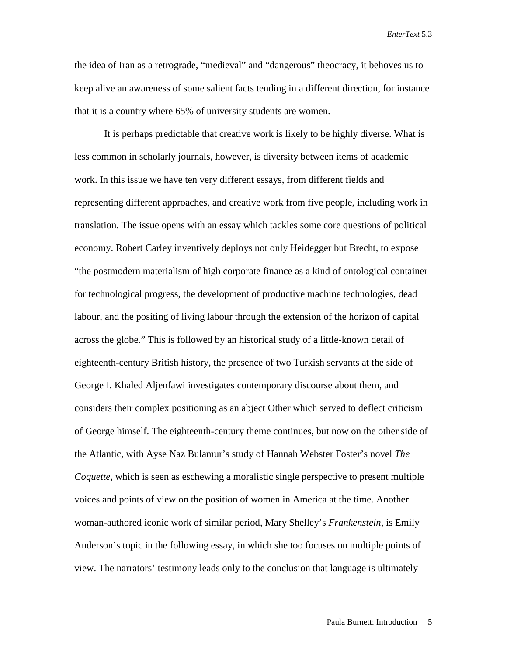the idea of Iran as a retrograde, "medieval" and "dangerous" theocracy, it behoves us to keep alive an awareness of some salient facts tending in a different direction, for instance that it is a country where 65% of university students are women.

It is perhaps predictable that creative work is likely to be highly diverse. What is less common in scholarly journals, however, is diversity between items of academic work. In this issue we have ten very different essays, from different fields and representing different approaches, and creative work from five people, including work in translation. The issue opens with an essay which tackles some core questions of political economy. Robert Carley inventively deploys not only Heidegger but Brecht, to expose "the postmodern materialism of high corporate finance as a kind of ontological container for technological progress, the development of productive machine technologies, dead labour, and the positing of living labour through the extension of the horizon of capital across the globe." This is followed by an historical study of a little-known detail of eighteenth-century British history, the presence of two Turkish servants at the side of George I. Khaled Aljenfawi investigates contemporary discourse about them, and considers their complex positioning as an abject Other which served to deflect criticism of George himself. The eighteenth-century theme continues, but now on the other side of the Atlantic, with Ayse Naz Bulamur's study of Hannah Webster Foster's novel *The Coquette*, which is seen as eschewing a moralistic single perspective to present multiple voices and points of view on the position of women in America at the time. Another woman-authored iconic work of similar period, Mary Shelley's *Frankenstein,* is Emily Anderson's topic in the following essay, in which she too focuses on multiple points of view. The narrators' testimony leads only to the conclusion that language is ultimately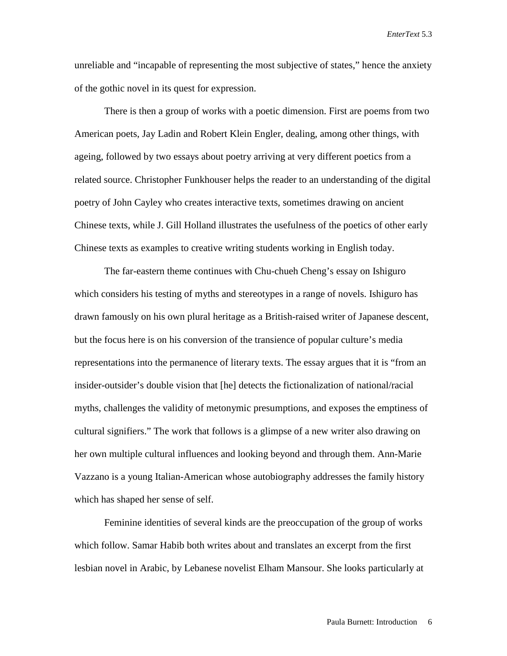unreliable and "incapable of representing the most subjective of states," hence the anxiety of the gothic novel in its quest for expression.

There is then a group of works with a poetic dimension. First are poems from two American poets, Jay Ladin and Robert Klein Engler, dealing, among other things, with ageing, followed by two essays about poetry arriving at very different poetics from a related source. Christopher Funkhouser helps the reader to an understanding of the digital poetry of John Cayley who creates interactive texts, sometimes drawing on ancient Chinese texts, while J. Gill Holland illustrates the usefulness of the poetics of other early Chinese texts as examples to creative writing students working in English today.

The far-eastern theme continues with Chu-chueh Cheng's essay on Ishiguro which considers his testing of myths and stereotypes in a range of novels. Ishiguro has drawn famously on his own plural heritage as a British-raised writer of Japanese descent, but the focus here is on his conversion of the transience of popular culture's media representations into the permanence of literary texts. The essay argues that it is "from an insider-outsider's double vision that [he] detects the fictionalization of national/racial myths, challenges the validity of metonymic presumptions, and exposes the emptiness of cultural signifiers." The work that follows is a glimpse of a new writer also drawing on her own multiple cultural influences and looking beyond and through them. Ann-Marie Vazzano is a young Italian-American whose autobiography addresses the family history which has shaped her sense of self.

Feminine identities of several kinds are the preoccupation of the group of works which follow. Samar Habib both writes about and translates an excerpt from the first lesbian novel in Arabic, by Lebanese novelist Elham Mansour. She looks particularly at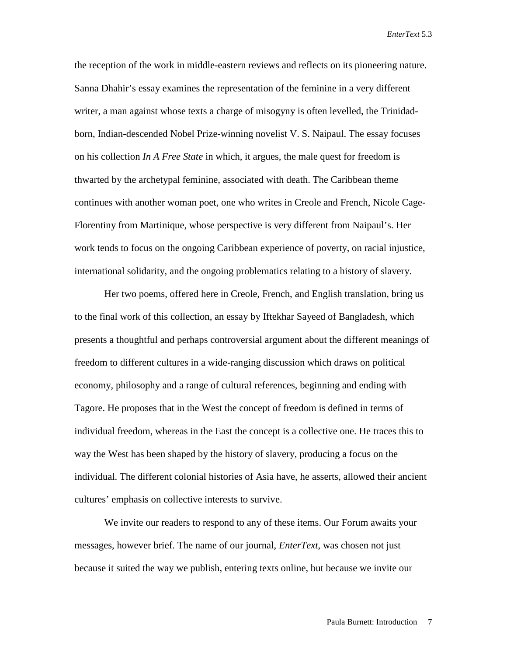the reception of the work in middle-eastern reviews and reflects on its pioneering nature. Sanna Dhahir's essay examines the representation of the feminine in a very different writer, a man against whose texts a charge of misogyny is often levelled, the Trinidadborn, Indian-descended Nobel Prize-winning novelist V. S. Naipaul. The essay focuses on his collection *In A Free State* in which, it argues, the male quest for freedom is thwarted by the archetypal feminine, associated with death. The Caribbean theme continues with another woman poet, one who writes in Creole and French, Nicole Cage-Florentiny from Martinique, whose perspective is very different from Naipaul's. Her work tends to focus on the ongoing Caribbean experience of poverty, on racial injustice, international solidarity, and the ongoing problematics relating to a history of slavery.

Her two poems, offered here in Creole, French, and English translation, bring us to the final work of this collection, an essay by Iftekhar Sayeed of Bangladesh, which presents a thoughtful and perhaps controversial argument about the different meanings of freedom to different cultures in a wide-ranging discussion which draws on political economy, philosophy and a range of cultural references, beginning and ending with Tagore. He proposes that in the West the concept of freedom is defined in terms of individual freedom, whereas in the East the concept is a collective one. He traces this to way the West has been shaped by the history of slavery, producing a focus on the individual. The different colonial histories of Asia have, he asserts, allowed their ancient cultures' emphasis on collective interests to survive.

We invite our readers to respond to any of these items. Our Forum awaits your messages, however brief. The name of our journal, *EnterText*, was chosen not just because it suited the way we publish, entering texts online, but because we invite our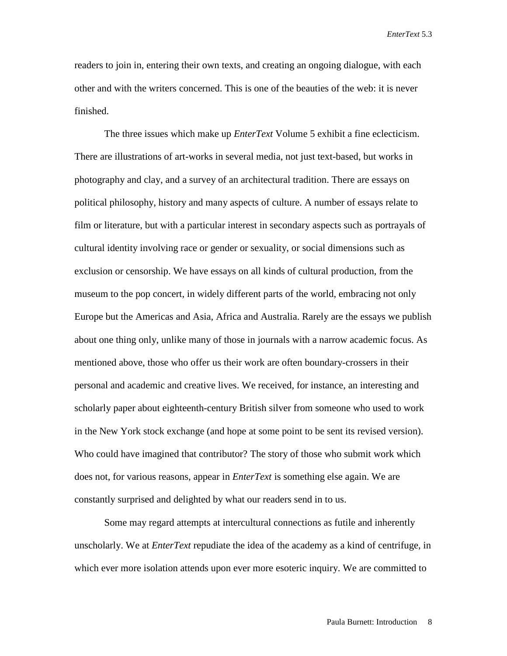readers to join in, entering their own texts, and creating an ongoing dialogue, with each other and with the writers concerned. This is one of the beauties of the web: it is never finished.

The three issues which make up *EnterText* Volume 5 exhibit a fine eclecticism. There are illustrations of art-works in several media, not just text-based, but works in photography and clay, and a survey of an architectural tradition. There are essays on political philosophy, history and many aspects of culture. A number of essays relate to film or literature, but with a particular interest in secondary aspects such as portrayals of cultural identity involving race or gender or sexuality, or social dimensions such as exclusion or censorship. We have essays on all kinds of cultural production, from the museum to the pop concert, in widely different parts of the world, embracing not only Europe but the Americas and Asia, Africa and Australia. Rarely are the essays we publish about one thing only, unlike many of those in journals with a narrow academic focus. As mentioned above, those who offer us their work are often boundary-crossers in their personal and academic and creative lives. We received, for instance, an interesting and scholarly paper about eighteenth-century British silver from someone who used to work in the New York stock exchange (and hope at some point to be sent its revised version). Who could have imagined that contributor? The story of those who submit work which does not, for various reasons, appear in *EnterText* is something else again. We are constantly surprised and delighted by what our readers send in to us.

Some may regard attempts at intercultural connections as futile and inherently unscholarly. We at *EnterText* repudiate the idea of the academy as a kind of centrifuge, in which ever more isolation attends upon ever more esoteric inquiry. We are committed to